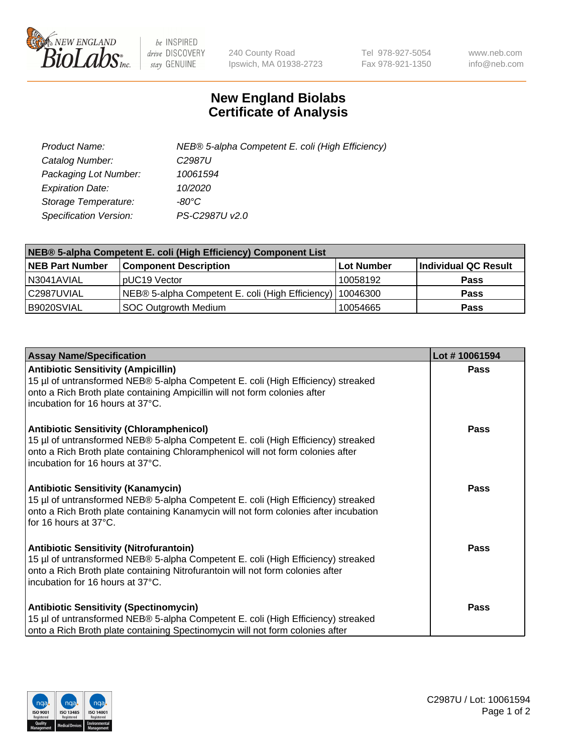

 $be$  INSPIRED drive DISCOVERY stay GENUINE

240 County Road Ipswich, MA 01938-2723 Tel 978-927-5054 Fax 978-921-1350 www.neb.com info@neb.com

## **New England Biolabs Certificate of Analysis**

| Product Name:                 | NEB® 5-alpha Competent E. coli (High Efficiency) |
|-------------------------------|--------------------------------------------------|
| Catalog Number:               | C <sub>2987</sub> U                              |
| Packaging Lot Number:         | 10061594                                         |
| <b>Expiration Date:</b>       | 10/2020                                          |
| Storage Temperature:          | -80°C                                            |
| <b>Specification Version:</b> | PS-C2987U v2.0                                   |

| NEB® 5-alpha Competent E. coli (High Efficiency) Component List |                                                  |            |                      |  |
|-----------------------------------------------------------------|--------------------------------------------------|------------|----------------------|--|
| <b>NEB Part Number</b>                                          | <b>Component Description</b>                     | Lot Number | Individual QC Result |  |
| N3041AVIAL                                                      | pUC19 Vector                                     | 10058192   | <b>Pass</b>          |  |
| C2987UVIAL                                                      | NEB® 5-alpha Competent E. coli (High Efficiency) | 10046300   | <b>Pass</b>          |  |
| B9020SVIAL                                                      | <b>SOC Outgrowth Medium</b>                      | 10054665   | <b>Pass</b>          |  |

| <b>Assay Name/Specification</b>                                                                                                                                                                                                                            | Lot #10061594 |
|------------------------------------------------------------------------------------------------------------------------------------------------------------------------------------------------------------------------------------------------------------|---------------|
| <b>Antibiotic Sensitivity (Ampicillin)</b><br>15 µl of untransformed NEB® 5-alpha Competent E. coli (High Efficiency) streaked<br>onto a Rich Broth plate containing Ampicillin will not form colonies after<br>incubation for 16 hours at 37°C.           | <b>Pass</b>   |
| <b>Antibiotic Sensitivity (Chloramphenicol)</b><br>15 µl of untransformed NEB® 5-alpha Competent E. coli (High Efficiency) streaked<br>onto a Rich Broth plate containing Chloramphenicol will not form colonies after<br>incubation for 16 hours at 37°C. | Pass          |
| Antibiotic Sensitivity (Kanamycin)<br>15 µl of untransformed NEB® 5-alpha Competent E. coli (High Efficiency) streaked<br>onto a Rich Broth plate containing Kanamycin will not form colonies after incubation<br>for 16 hours at 37°C.                    | Pass          |
| <b>Antibiotic Sensitivity (Nitrofurantoin)</b><br>15 µl of untransformed NEB® 5-alpha Competent E. coli (High Efficiency) streaked<br>onto a Rich Broth plate containing Nitrofurantoin will not form colonies after<br>incubation for 16 hours at 37°C.   | <b>Pass</b>   |
| <b>Antibiotic Sensitivity (Spectinomycin)</b><br>15 µl of untransformed NEB® 5-alpha Competent E. coli (High Efficiency) streaked<br>onto a Rich Broth plate containing Spectinomycin will not form colonies after                                         | Pass          |